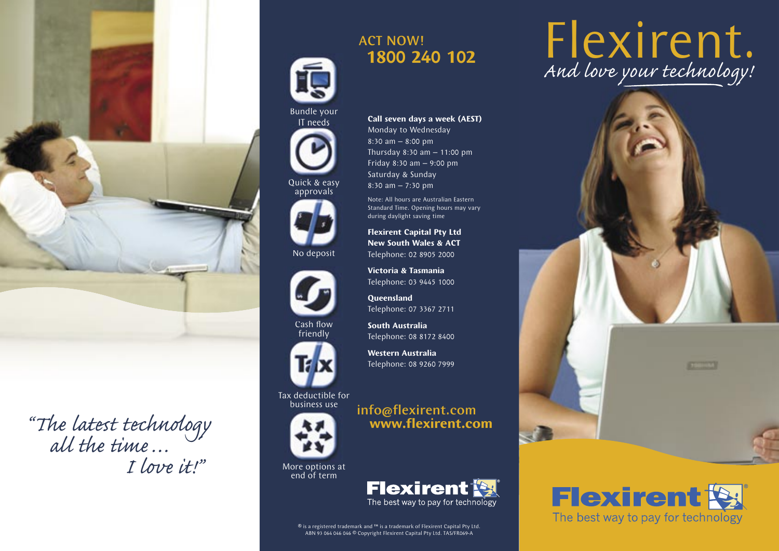

"The latest technology" all the time … I love it!"



Bundle your IT needs

Quick & easy approvals



No deposit



**Cash flow** friendly



Tax deductible for business use



More options at end of term

# Cash flow South Australia<br>
Fleephone: 08 8172 8400<br>
Western Australia<br>
Telephone: 08 9260 7999<br>
Elephone: 08 9260 7999<br>
Elephone: 08 9260 7999<br>
Elephone: 08 9260 7999<br>
Elephone: 08 9260 7999<br>
Elephone: 08 9260 7999<br>
Musul

 **www.flexirent.com**

info@flexirent.com

**Call seven days a week (AEST)**

Thursday 8:30 am – 11:00 pm Friday 8:30 am – 9:00 pm Saturday & Sunday 8:30 am – 7:30 pm

Note: All hours are Australian Eastern Standard Time. Opening hours may vary

during daylight saving time **Flexirent Capital Pty Ltd New South Wales & ACT**  Telephone: 02 8905 2000 **Victoria & Tasmania** Telephone: 03 9445 1000

**Queensland**

**South Australia** Telephone: 08 8172 8400

**Western Australia** Telephone: 08 9260 7999

Telephone: 07 3367 2711

Monday to Wednesday 8:30 am – 8:00 pm

ABN 93 064 046 046 © Copyright Flexirent Capital Pty Ltd. TAS/FR069-A

# Flexirent. And love your technology!